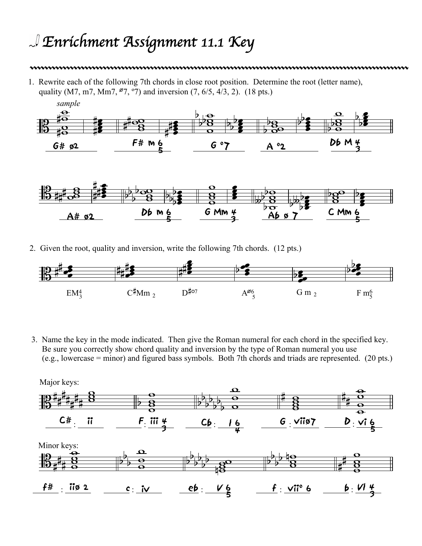## *Enrichment Assignment 11.1 Key*

## 

1. Rewrite each of the following 7th chords in close root position. Determine the root (letter name), quality (M7, m7, Mm7,  $^{67}$ ,  $^{97}$ ) and inversion (7, 6/5, 4/3, 2). (18 pts.)





2. Given the root, quality and inversion, write the following 7th chords. (12 pts.)



3. Name the key in the mode indicated. Then give the Roman numeral for each chord in the specified key. Be sure you correctly show chord quality and inversion by the type of Roman numeral you use (e.g., lowercase = minor) and figured bass symbols. Both 7th chords and triads are represented. (20 pts.)